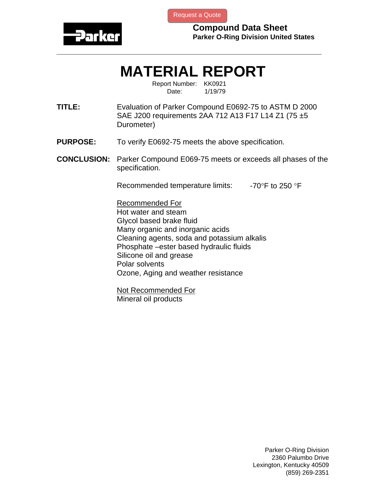

[Request a Quote](http://www.marcorubber.com/contact_quote.htm?material=Parker+E0692-75)

**Compound Data Sheet Parker O-Ring Division United States** 

## **MATERIAL REPORT**

**\_\_\_\_\_\_\_\_\_\_\_\_\_\_\_\_\_\_\_\_\_\_\_\_\_\_\_\_\_\_\_\_\_\_\_\_\_\_\_\_\_\_\_\_\_\_\_\_\_\_\_\_\_\_\_\_\_\_\_\_\_\_\_** 

Report Number: KK0921 Date: 1/19/79

**TITLE:** Evaluation of Parker Compound E0692-75 to ASTM D 2000 SAE J200 requirements 2AA 712 A13 F17 L14 Z1 (75 ±5 Durometer)

- **PURPOSE:** To verify E0692-75 meets the above specification.
- **CONCLUSION:** Parker Compound E069-75 meets or exceeds all phases of the specification.

Recommended temperature limits:  $-70^\circ$ F to 250 °F

Recommended For Hot water and steam Glycol based brake fluid Many organic and inorganic acids Cleaning agents, soda and potassium alkalis Phosphate –ester based hydraulic fluids Silicone oil and grease Polar solvents Ozone, Aging and weather resistance

Not Recommended For Mineral oil products

> Parker O-Ring Division 2360 Palumbo Drive Lexington, Kentucky 40509 (859) 269-2351